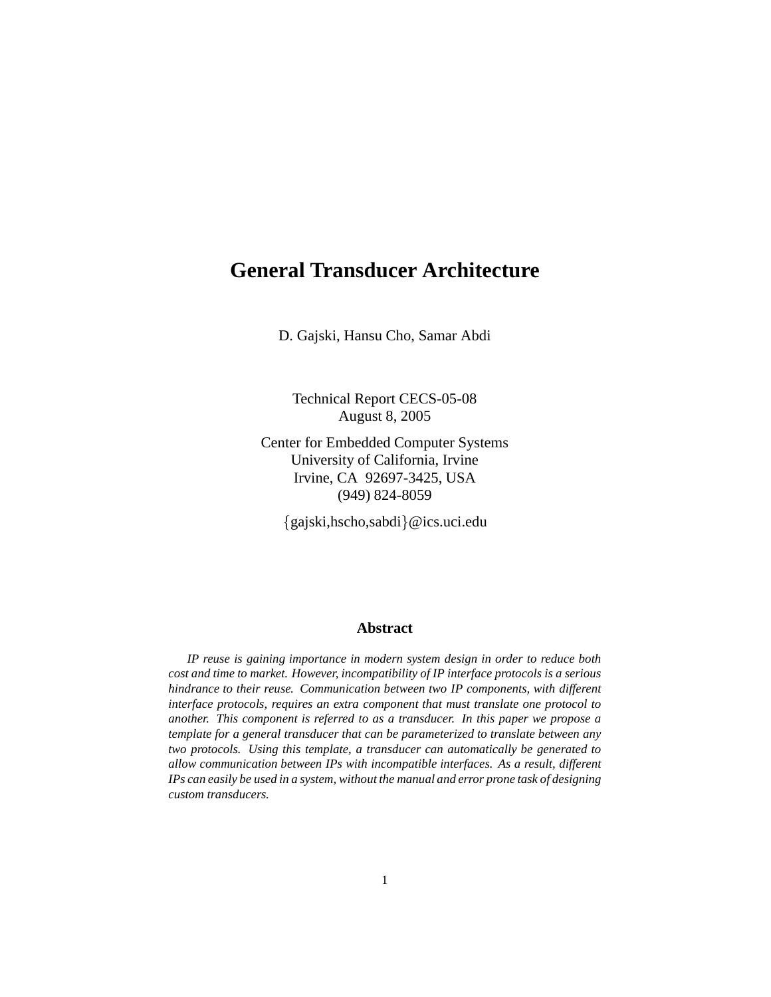# **General Transducer Architecture**

D. Gajski, Hansu Cho, Samar Abdi

Technical Report CECS-05-08 August 8, 2005

Center for Embedded Computer Systems University of California, Irvine Irvine, CA 92697-3425, USA (949) 824-8059

{gajski,hscho,sabdi}@ics.uci.edu

#### **Abstract**

*IP reuse is gaining importance in modern system design in order to reduce both cost and time to market. However, incompatibility of IP interface protocols is a serious hindrance to their reuse. Communication between two IP components, with different interface protocols, requires an extra component that must translate one protocol to another. This component is referred to as a transducer. In this paper we propose a template for a general transducer that can be parameterized to translate between any two protocols. Using this template, a transducer can automatically be generated to allow communication between IPs with incompatible interfaces. As a result, different IPs can easily be used in a system, without the manual and error prone task of designing custom transducers.*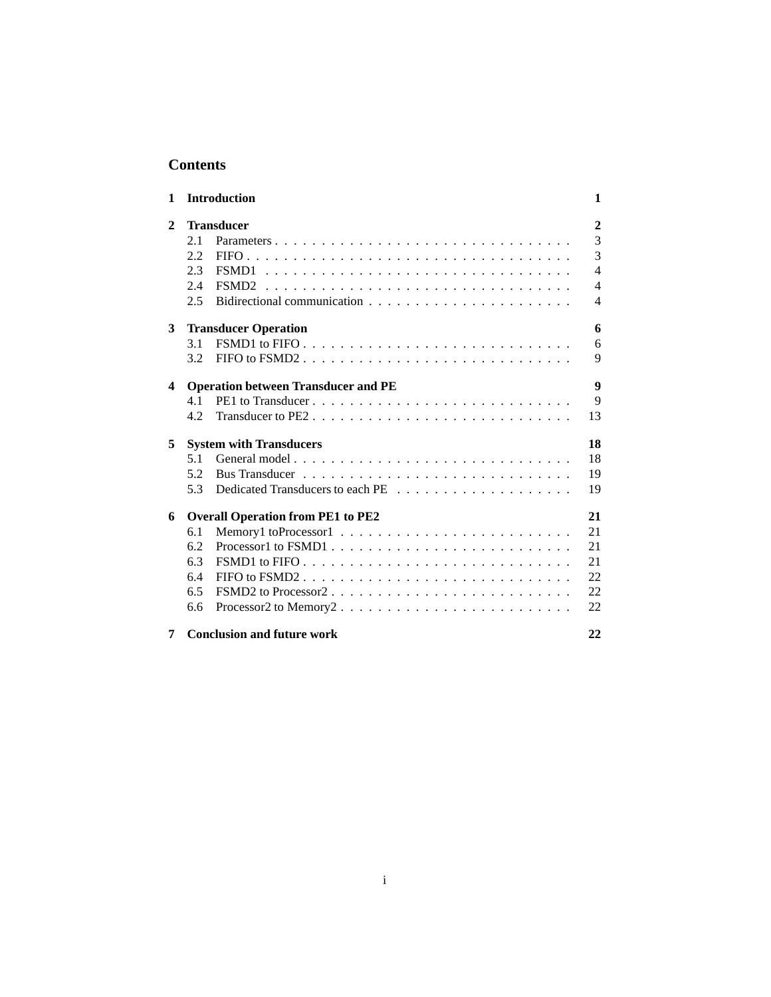## **Contents**

| 1            |                                            | <b>Introduction</b>                                                                    | 1              |  |
|--------------|--------------------------------------------|----------------------------------------------------------------------------------------|----------------|--|
| $\mathbf{2}$ | <b>Transducer</b>                          |                                                                                        |                |  |
|              | 2.1                                        | Parameters                                                                             | 3              |  |
|              | 2.2                                        |                                                                                        | 3              |  |
|              | 2.3                                        |                                                                                        | $\overline{4}$ |  |
|              | 2.4                                        | FSMD <sub>2</sub>                                                                      | 4              |  |
|              | 2.5                                        |                                                                                        | 4              |  |
| 3            | <b>Transducer Operation</b>                |                                                                                        |                |  |
|              | 3.1                                        |                                                                                        | 6              |  |
|              | 3.2                                        | FIFO to $FSMD2$                                                                        | 9              |  |
| 4            | <b>Operation between Transducer and PE</b> |                                                                                        |                |  |
|              | 4.1                                        | PE1 to Transducer                                                                      | 9              |  |
|              | 4.2.                                       |                                                                                        | 13             |  |
| 5            | <b>System with Transducers</b>             |                                                                                        |                |  |
|              | 5.1                                        |                                                                                        | 18             |  |
|              | 5.2                                        |                                                                                        | 19             |  |
|              | 5.3                                        |                                                                                        | 19             |  |
| 6            | <b>Overall Operation from PE1 to PE2</b>   |                                                                                        |                |  |
|              | 6.1                                        |                                                                                        | 21             |  |
|              | 6.2                                        |                                                                                        | 21             |  |
|              | 6.3                                        | FSMD1 to FIFO $\ldots \ldots \ldots \ldots \ldots \ldots \ldots \ldots \ldots$         | 21             |  |
|              | 6.4                                        |                                                                                        | 22             |  |
|              | 6.5                                        | FSMD2 to Processor $2, \ldots, \ldots, \ldots, \ldots, \ldots, \ldots, \ldots, \ldots$ | 22             |  |
|              | 6.6                                        |                                                                                        | 22             |  |
| 7            |                                            | <b>Conclusion and future work</b>                                                      | 22             |  |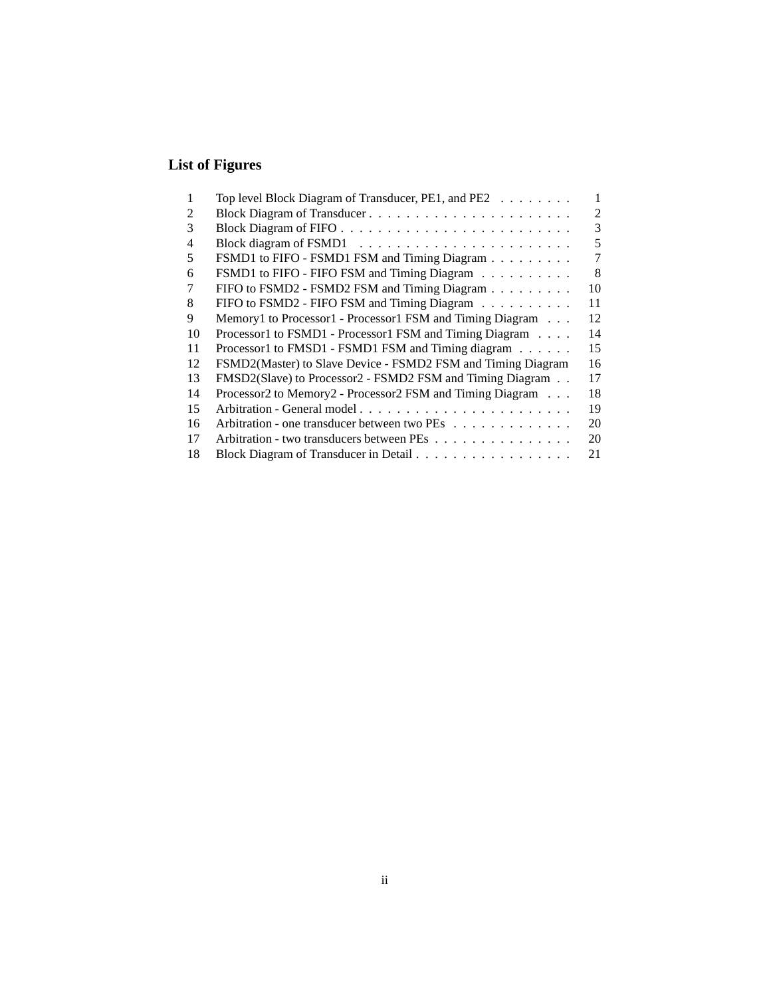# **List of Figures**

| 1  | Top level Block Diagram of Transducer, PE1, and PE2          | 1              |
|----|--------------------------------------------------------------|----------------|
| 2  |                                                              | $\mathfrak{D}$ |
| 3  |                                                              | 3              |
| 4  |                                                              | 5              |
| 5  | FSMD1 to FIFO - FSMD1 FSM and Timing Diagram                 | 7              |
| 6  | FSMD1 to FIFO - FIFO FSM and Timing Diagram                  | 8              |
|    | FIFO to FSMD2 - FSMD2 FSM and Timing Diagram                 | 10             |
| 8  | FIFO to FSMD2 - FIFO FSM and Timing Diagram                  | 11             |
| 9  | Memory1 to Processor1 - Processor1 FSM and Timing Diagram    | 12             |
| 10 | Processor1 to FSMD1 - Processor1 FSM and Timing Diagram      | 14             |
| 11 | Processor1 to FMSD1 - FSMD1 FSM and Timing diagram           | 15             |
| 12 | FSMD2(Master) to Slave Device - FSMD2 FSM and Timing Diagram | 16             |
| 13 | FMSD2(Slave) to Processor2 - FSMD2 FSM and Timing Diagram    | 17             |
| 14 | Processor2 to Memory2 - Processor2 FSM and Timing Diagram    | 18             |
| 15 |                                                              | 19             |
| 16 | Arbitration - one transducer between two PEs                 | 20             |
| 17 | Arbitration - two transducers between PEs                    | 20             |
| 18 |                                                              | 21             |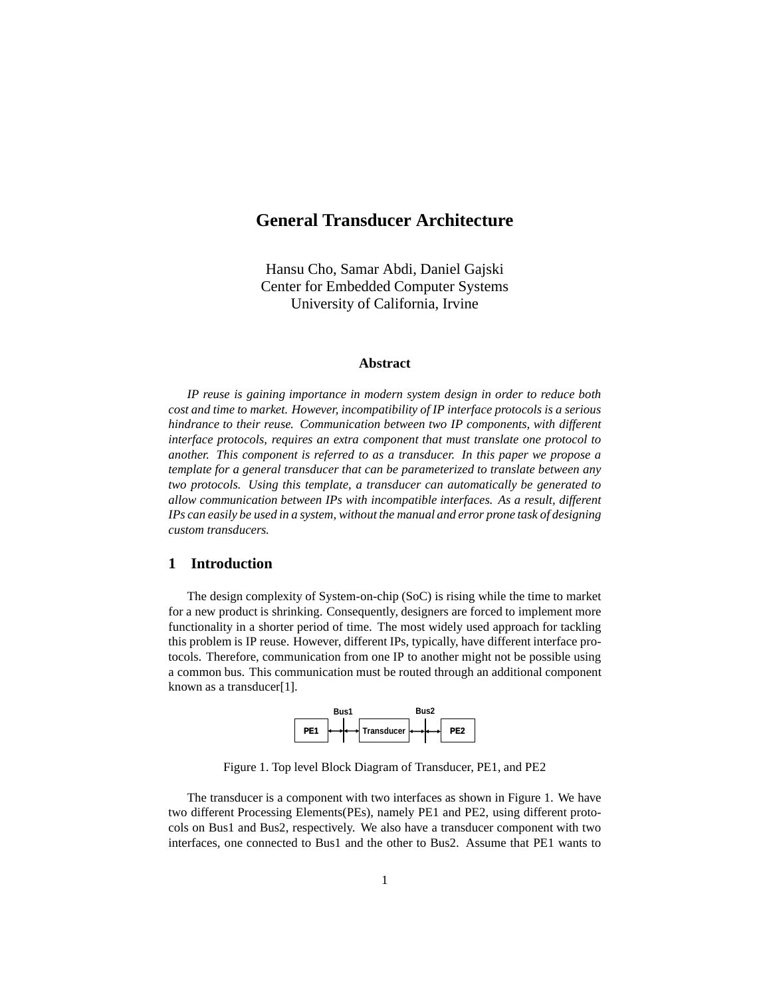# **General Transducer Architecture**

Hansu Cho, Samar Abdi, Daniel Gajski Center for Embedded Computer Systems University of California, Irvine

#### **Abstract**

*IP reuse is gaining importance in modern system design in order to reduce both cost and time to market. However, incompatibility of IP interface protocols is a serious hindrance to their reuse. Communication between two IP components, with different interface protocols, requires an extra component that must translate one protocol to another. This component is referred to as a transducer. In this paper we propose a template for a general transducer that can be parameterized to translate between any two protocols. Using this template, a transducer can automatically be generated to allow communication between IPs with incompatible interfaces. As a result, different IPs can easily be used in a system, without the manual and error prone task of designing custom transducers.*

#### **1 Introduction**

The design complexity of System-on-chip (SoC) is rising while the time to market for a new product is shrinking. Consequently, designers are forced to implement more functionality in a shorter period of time. The most widely used approach for tackling this problem is IP reuse. However, different IPs, typically, have different interface protocols. Therefore, communication from one IP to another might not be possible using a common bus. This communication must be routed through an additional component known as a transducer[1].



Figure 1. Top level Block Diagram of Transducer, PE1, and PE2

The transducer is a component with two interfaces as shown in Figure 1. We have two different Processing Elements(PEs), namely PE1 and PE2, using different protocols on Bus1 and Bus2, respectively. We also have a transducer component with two interfaces, one connected to Bus1 and the other to Bus2. Assume that PE1 wants to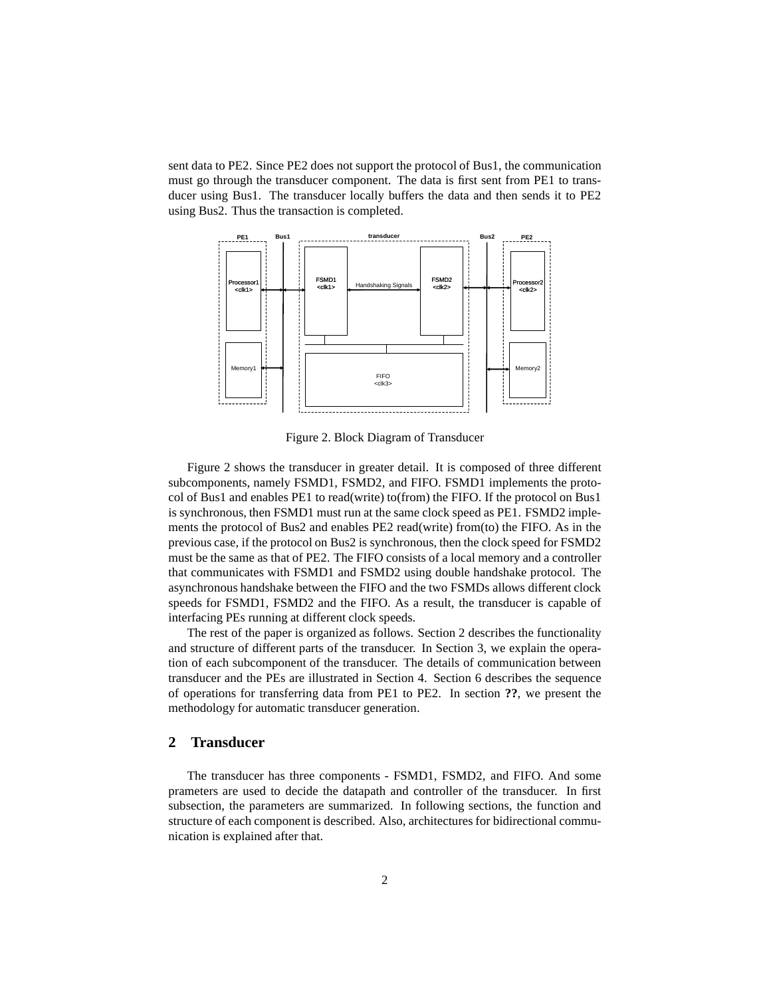sent data to PE2. Since PE2 does not support the protocol of Bus1, the communication must go through the transducer component. The data is first sent from PE1 to transducer using Bus1. The transducer locally buffers the data and then sends it to PE2 using Bus2. Thus the transaction is completed.



Figure 2. Block Diagram of Transducer

Figure 2 shows the transducer in greater detail. It is composed of three different subcomponents, namely FSMD1, FSMD2, and FIFO. FSMD1 implements the protocol of Bus1 and enables PE1 to read(write) to(from) the FIFO. If the protocol on Bus1 is synchronous, then FSMD1 must run at the same clock speed as PE1. FSMD2 implements the protocol of Bus2 and enables PE2 read(write) from(to) the FIFO. As in the previous case, if the protocol on Bus2 is synchronous, then the clock speed for FSMD2 must be the same as that of PE2. The FIFO consists of a local memory and a controller that communicates with FSMD1 and FSMD2 using double handshake protocol. The asynchronous handshake between the FIFO and the two FSMDs allows different clock speeds for FSMD1, FSMD2 and the FIFO. As a result, the transducer is capable of interfacing PEs running at different clock speeds.

The rest of the paper is organized as follows. Section 2 describes the functionality and structure of different parts of the transducer. In Section 3, we explain the operation of each subcomponent of the transducer. The details of communication between transducer and the PEs are illustrated in Section 4. Section 6 describes the sequence of operations for transferring data from PE1 to PE2. In section **??**, we present the methodology for automatic transducer generation.

### **2 Transducer**

The transducer has three components - FSMD1, FSMD2, and FIFO. And some prameters are used to decide the datapath and controller of the transducer. In first subsection, the parameters are summarized. In following sections, the function and structure of each component is described. Also, architectures for bidirectional communication is explained after that.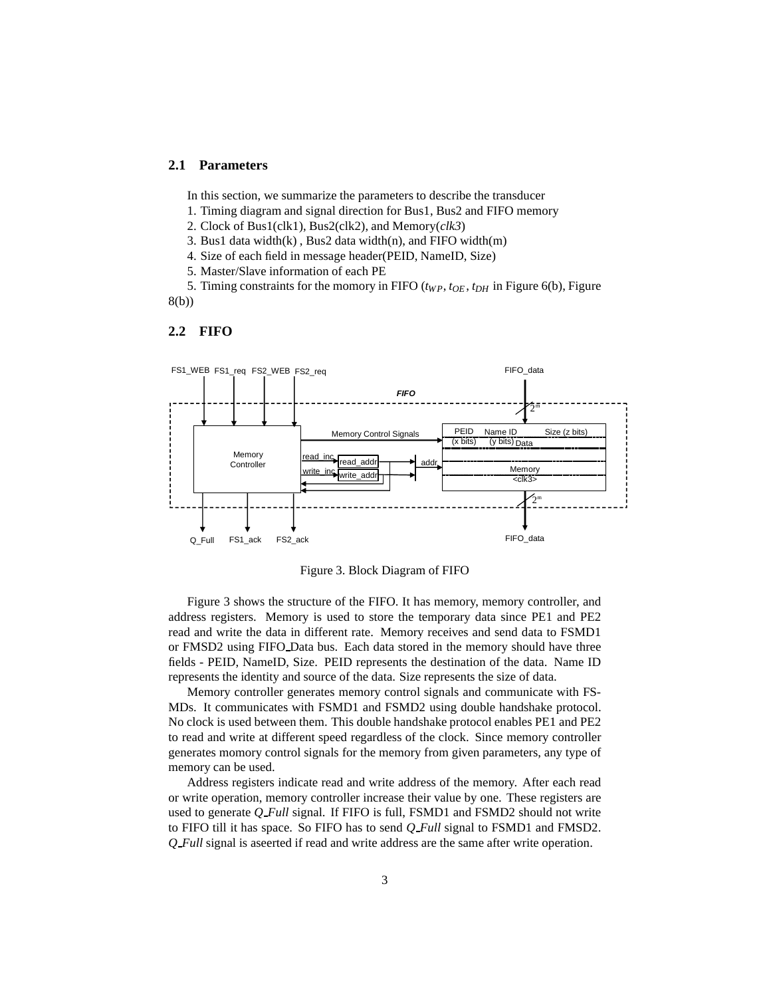#### **2.1 Parameters**

In this section, we summarize the parameters to describe the transducer

- 1. Timing diagram and signal direction for Bus1, Bus2 and FIFO memory
- 2. Clock of Bus1(clk1), Bus2(clk2), and Memory(*clk3*)
- 3. Bus1 data width $(k)$ , Bus2 data width $(n)$ , and FIFO width $(m)$
- 4. Size of each field in message header(PEID, NameID, Size)
- 5. Master/Slave information of each PE

5. Timing constraints for the momory in FIFO (*tWP*, *tOE* , *tDH* in Figure 6(b), Figure 8(b))

#### **2.2 FIFO**



Figure 3. Block Diagram of FIFO

Figure 3 shows the structure of the FIFO. It has memory, memory controller, and address registers. Memory is used to store the temporary data since PE1 and PE2 read and write the data in different rate. Memory receives and send data to FSMD1 or FMSD2 using FIFO Data bus. Each data stored in the memory should have three fields - PEID, NameID, Size. PEID represents the destination of the data. Name ID represents the identity and source of the data. Size represents the size of data.

Memory controller generates memory control signals and communicate with FS-MDs. It communicates with FSMD1 and FSMD2 using double handshake protocol. No clock is used between them. This double handshake protocol enables PE1 and PE2 to read and write at different speed regardless of the clock. Since memory controller generates momory control signals for the memory from given parameters, any type of memory can be used.

Address registers indicate read and write address of the memory. After each read or write operation, memory controller increase their value by one. These registers are used to generate *Q Full* signal. If FIFO is full, FSMD1 and FSMD2 should not write to FIFO till it has space. So FIFO has to send *Q Full* signal to FSMD1 and FMSD2. *Q Full* signal is aseerted if read and write address are the same after write operation.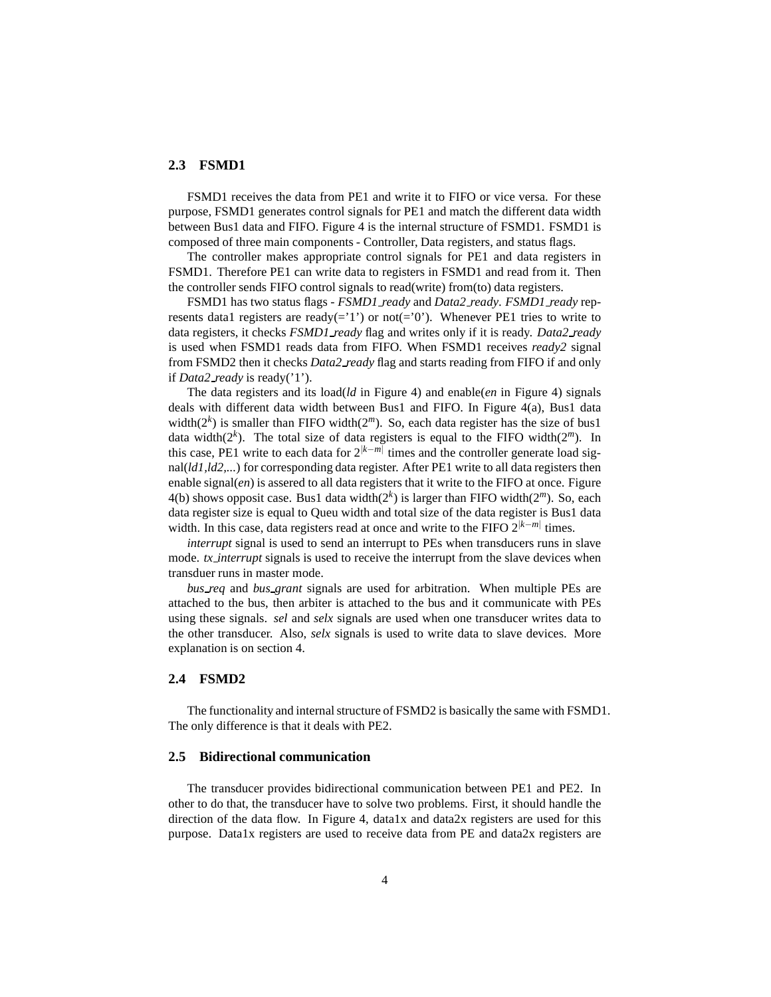#### **2.3 FSMD1**

FSMD1 receives the data from PE1 and write it to FIFO or vice versa. For these purpose, FSMD1 generates control signals for PE1 and match the different data width between Bus1 data and FIFO. Figure 4 is the internal structure of FSMD1. FSMD1 is composed of three main components - Controller, Data registers, and status flags.

The controller makes appropriate control signals for PE1 and data registers in FSMD1. Therefore PE1 can write data to registers in FSMD1 and read from it. Then the controller sends FIFO control signals to read(write) from(to) data registers.

FSMD1 has two status flags - *FSMD1 ready* and *Data2 ready*. *FSMD1 ready* represents data1 registers are ready(='1') or not(='0'). Whenever PE1 tries to write to data registers, it checks *FSMD1 ready* flag and writes only if it is ready. *Data2 ready* is used when FSMD1 reads data from FIFO. When FSMD1 receives *ready2* signal from FSMD2 then it checks *Data2 ready* flag and starts reading from FIFO if and only if *Data2 ready* is ready('1').

The data registers and its load(*ld* in Figure 4) and enable(*en* in Figure 4) signals deals with different data width between Bus1 and FIFO. In Figure 4(a), Bus1 data width( $2<sup>k</sup>$ ) is smaller than FIFO width( $2<sup>m</sup>$ ). So, each data register has the size of bus1 data width( $2^k$ ). The total size of data registers is equal to the FIFO width( $2^m$ ). In this case, PE1 write to each data for 2|*k*−*m*<sup>|</sup> times and the controller generate load signal(*ld1,ld2,...*) for corresponding data register. After PE1 write to all data registers then enable signal(*en*) is assered to all data registers that it write to the FIFO at once. Figure 4(b) shows opposit case. Bus1 data width(2*<sup>k</sup>* ) is larger than FIFO width(2*m*). So, each data register size is equal to Queu width and total size of the data register is Bus1 data width. In this case, data registers read at once and write to the FIFO 2<sup>|k−*m*|</sup> times.

*interrupt* signal is used to send an interrupt to PEs when transducers runs in slave mode. *tx\_interrupt* signals is used to receive the interrupt from the slave devices when transduer runs in master mode.

*bus req* and *bus grant* signals are used for arbitration. When multiple PEs are attached to the bus, then arbiter is attached to the bus and it communicate with PEs using these signals. *sel* and *selx* signals are used when one transducer writes data to the other transducer. Also, *selx* signals is used to write data to slave devices. More explanation is on section 4.

#### **2.4 FSMD2**

The functionality and internal structure of FSMD2 is basically the same with FSMD1. The only difference is that it deals with PE2.

#### **2.5 Bidirectional communication**

The transducer provides bidirectional communication between PE1 and PE2. In other to do that, the transducer have to solve two problems. First, it should handle the direction of the data flow. In Figure 4, data1x and data2x registers are used for this purpose. Data1x registers are used to receive data from PE and data2x registers are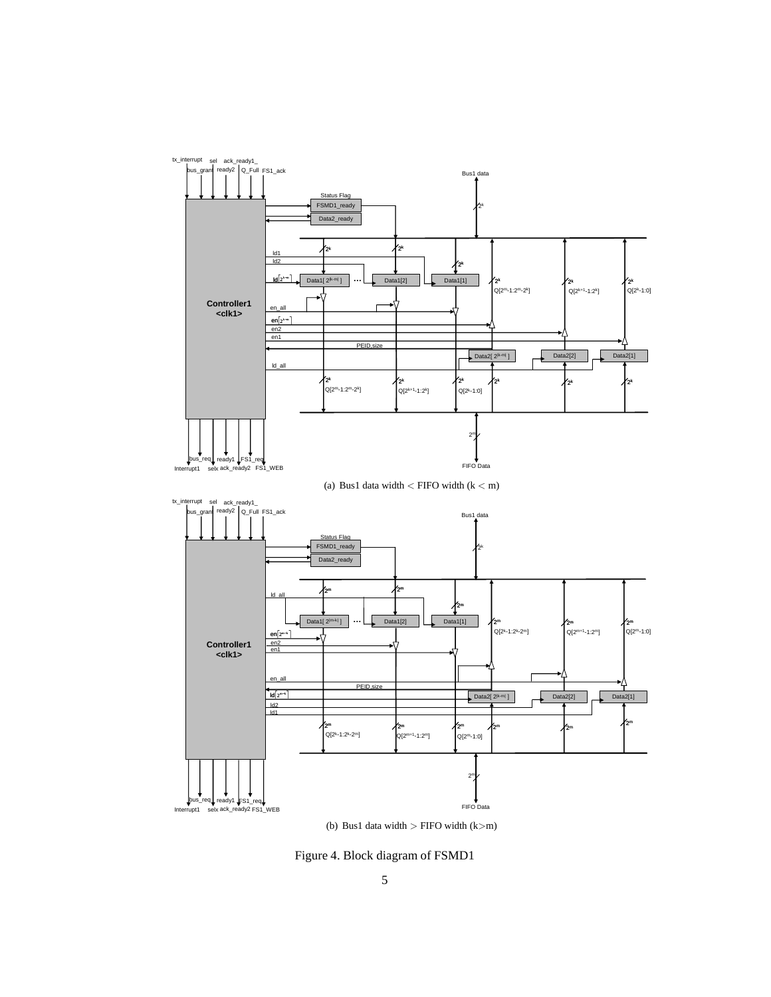

(b) Bus1 data width  $>$  FIFO width (k $>$ m)

Figure 4. Block diagram of FSMD1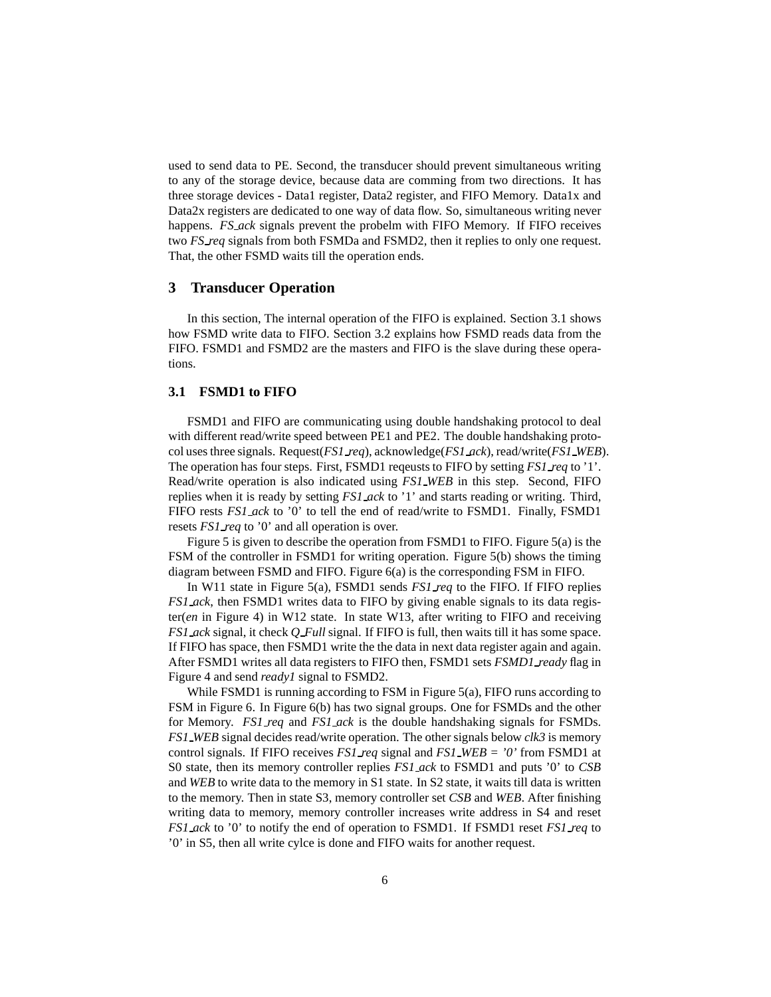used to send data to PE. Second, the transducer should prevent simultaneous writing to any of the storage device, because data are comming from two directions. It has three storage devices - Data1 register, Data2 register, and FIFO Memory. Data1x and Data2x registers are dedicated to one way of data flow. So, simultaneous writing never happens. *FS ack* signals prevent the probelm with FIFO Memory. If FIFO receives two *FS req* signals from both FSMDa and FSMD2, then it replies to only one request. That, the other FSMD waits till the operation ends.

#### **3 Transducer Operation**

In this section, The internal operation of the FIFO is explained. Section 3.1 shows how FSMD write data to FIFO. Section 3.2 explains how FSMD reads data from the FIFO. FSMD1 and FSMD2 are the masters and FIFO is the slave during these operations.

#### **3.1 FSMD1 to FIFO**

FSMD1 and FIFO are communicating using double handshaking protocol to deal with different read/write speed between PE1 and PE2. The double handshaking protocol uses three signals. Request(*FS1 req*), acknowledge(*FS1 ack*), read/write(*FS1 WEB*). The operation has four steps. First, FSMD1 reqeusts to FIFO by setting *FS1 req* to '1'. Read/write operation is also indicated using *FS1 WEB* in this step. Second, FIFO replies when it is ready by setting *FS1 ack* to '1' and starts reading or writing. Third, FIFO rests *FS1 ack* to '0' to tell the end of read/write to FSMD1. Finally, FSMD1 resets *FS1 req* to '0' and all operation is over.

Figure 5 is given to describe the operation from FSMD1 to FIFO. Figure 5(a) is the FSM of the controller in FSMD1 for writing operation. Figure 5(b) shows the timing diagram between FSMD and FIFO. Figure 6(a) is the corresponding FSM in FIFO.

In W11 state in Figure 5(a), FSMD1 sends *FS1 req* to the FIFO. If FIFO replies *FS1 ack*, then FSMD1 writes data to FIFO by giving enable signals to its data register(*en* in Figure 4) in W12 state. In state W13, after writing to FIFO and receiving *FS1 ack* signal, it check *Q Full* signal. If FIFO is full, then waits till it has some space. If FIFO has space, then FSMD1 write the the data in next data register again and again. After FSMD1 writes all data registers to FIFO then, FSMD1 sets *FSMD1 ready* flag in Figure 4 and send *ready1* signal to FSMD2.

While FSMD1 is running according to FSM in Figure 5(a), FIFO runs according to FSM in Figure 6. In Figure 6(b) has two signal groups. One for FSMDs and the other for Memory. *FS1 req* and *FS1 ack* is the double handshaking signals for FSMDs. *FS1 WEB* signal decides read/write operation. The other signals below *clk3* is memory control signals. If FIFO receives *FS1 req* signal and *FS1 WEB = '0'* from FSMD1 at S0 state, then its memory controller replies *FS1 ack* to FSMD1 and puts '0' to *CSB* and *WEB* to write data to the memory in S1 state. In S2 state, it waits till data is written to the memory. Then in state S3, memory controller set *CSB* and *WEB*. After finishing writing data to memory, memory controller increases write address in S4 and reset *FS1 ack* to '0' to notify the end of operation to FSMD1. If FSMD1 reset *FS1 req* to '0' in S5, then all write cylce is done and FIFO waits for another request.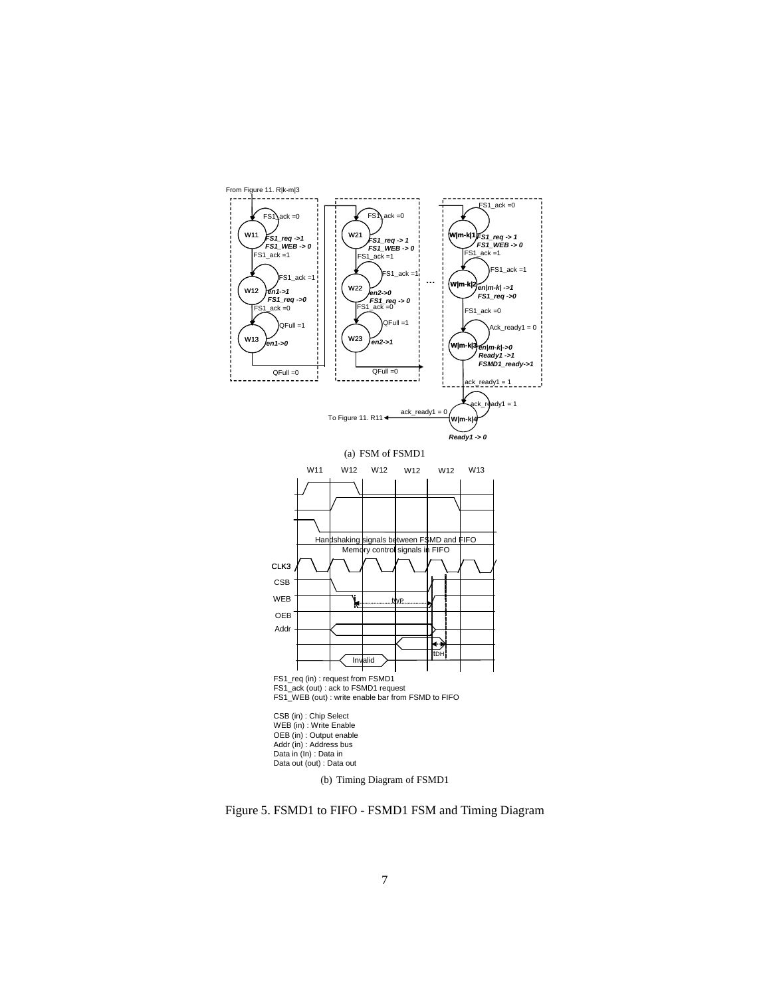

Figure 5. FSMD1 to FIFO - FSMD1 FSM and Timing Diagram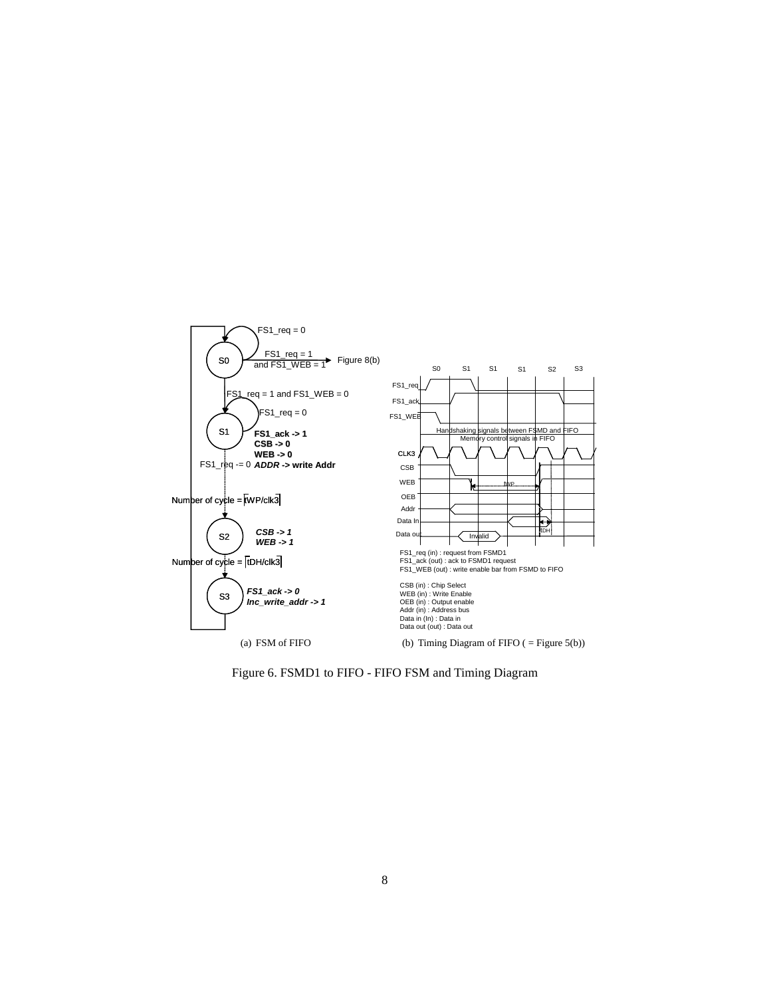

Figure 6. FSMD1 to FIFO - FIFO FSM and Timing Diagram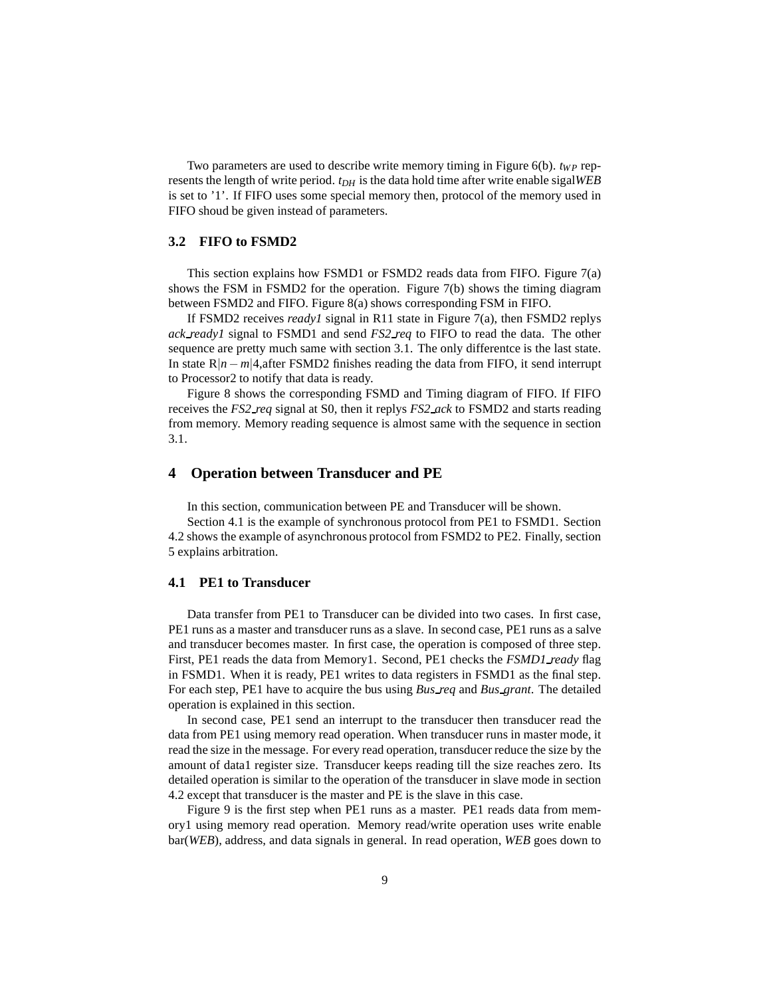Two parameters are used to describe write memory timing in Figure  $6(b)$ .  $t_{WP}$  represents the length of write period. *tDH* is the data hold time after write enable sigal*WEB* is set to '1'. If FIFO uses some special memory then, protocol of the memory used in FIFO shoud be given instead of parameters.

#### **3.2 FIFO to FSMD2**

This section explains how FSMD1 or FSMD2 reads data from FIFO. Figure 7(a) shows the FSM in FSMD2 for the operation. Figure 7(b) shows the timing diagram between FSMD2 and FIFO. Figure 8(a) shows corresponding FSM in FIFO.

If FSMD2 receives *ready1* signal in R11 state in Figure 7(a), then FSMD2 replys *ack ready1* signal to FSMD1 and send *FS2 req* to FIFO to read the data. The other sequence are pretty much same with section 3.1. The only differentce is the last state. In state R|*n*−*m*|4,after FSMD2 finishes reading the data from FIFO, it send interrupt to Processor2 to notify that data is ready.

Figure 8 shows the corresponding FSMD and Timing diagram of FIFO. If FIFO receives the *FS2 req* signal at S0, then it replys *FS2 ack* to FSMD2 and starts reading from memory. Memory reading sequence is almost same with the sequence in section 3.1.

#### **4 Operation between Transducer and PE**

In this section, communication between PE and Transducer will be shown.

Section 4.1 is the example of synchronous protocol from PE1 to FSMD1. Section 4.2 shows the example of asynchronous protocol from FSMD2 to PE2. Finally, section 5 explains arbitration.

#### **4.1 PE1 to Transducer**

Data transfer from PE1 to Transducer can be divided into two cases. In first case, PE1 runs as a master and transducer runs as a slave. In second case, PE1 runs as a salve and transducer becomes master. In first case, the operation is composed of three step. First, PE1 reads the data from Memory1. Second, PE1 checks the *FSMD1 ready* flag in FSMD1. When it is ready, PE1 writes to data registers in FSMD1 as the final step. For each step, PE1 have to acquire the bus using *Bus req* and *Bus grant*. The detailed operation is explained in this section.

In second case, PE1 send an interrupt to the transducer then transducer read the data from PE1 using memory read operation. When transducer runs in master mode, it read the size in the message. For every read operation, transducer reduce the size by the amount of data1 register size. Transducer keeps reading till the size reaches zero. Its detailed operation is similar to the operation of the transducer in slave mode in section 4.2 except that transducer is the master and PE is the slave in this case.

Figure 9 is the first step when PE1 runs as a master. PE1 reads data from memory1 using memory read operation. Memory read/write operation uses write enable bar(*WEB*), address, and data signals in general. In read operation, *WEB* goes down to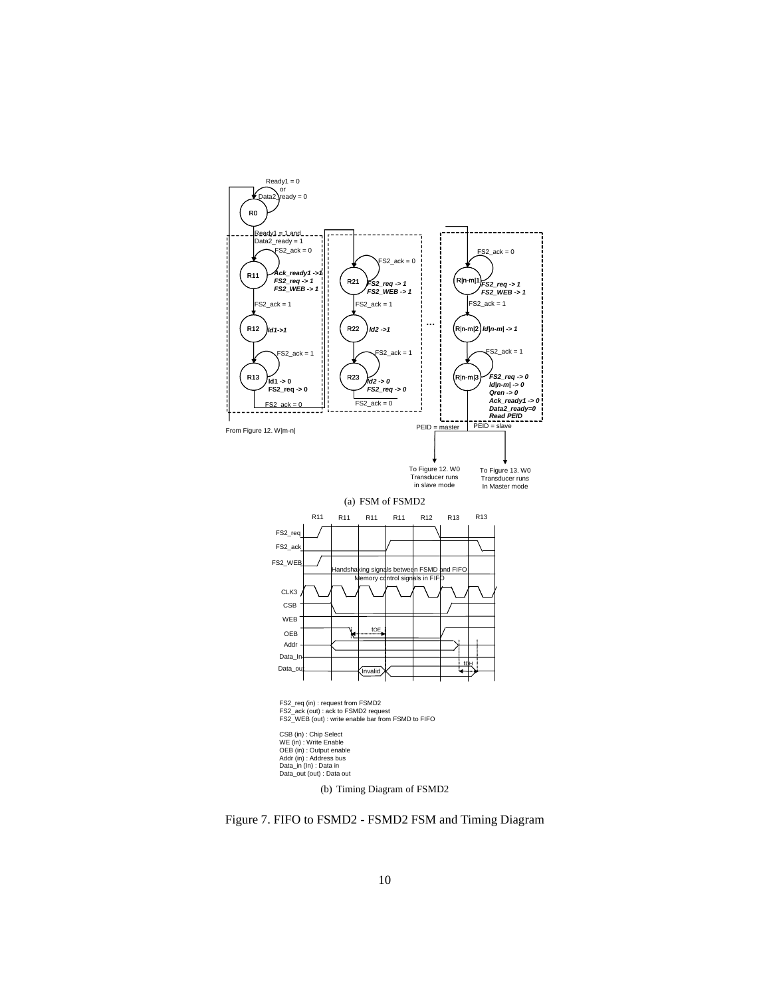

Figure 7. FIFO to FSMD2 - FSMD2 FSM and Timing Diagram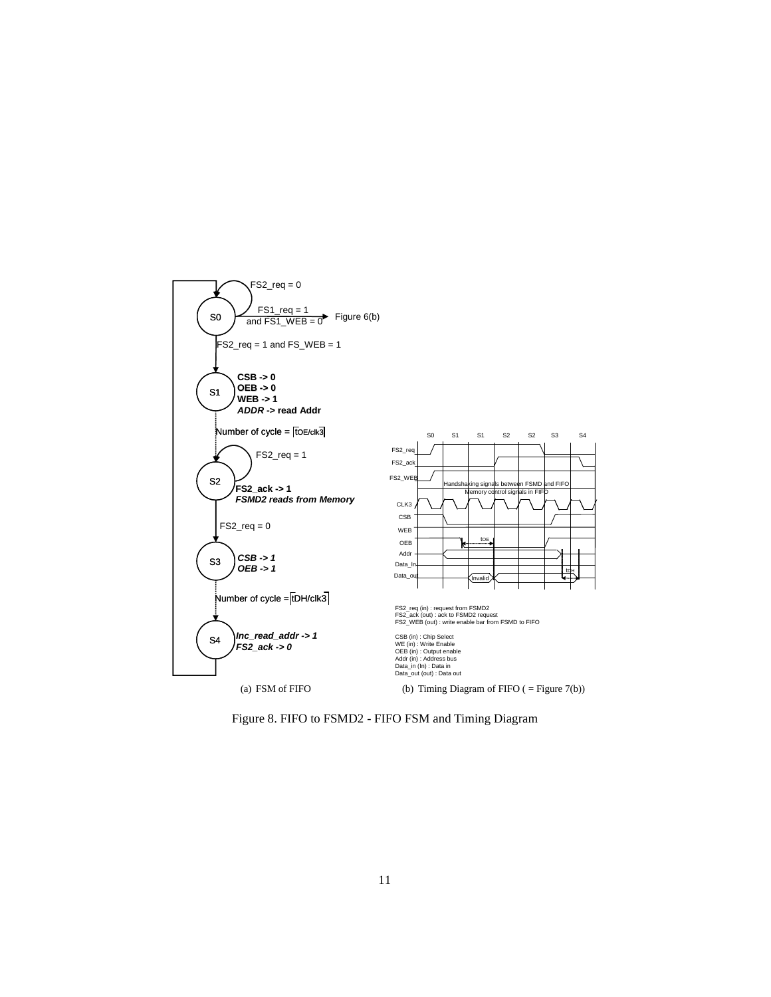

Figure 8. FIFO to FSMD2 - FIFO FSM and Timing Diagram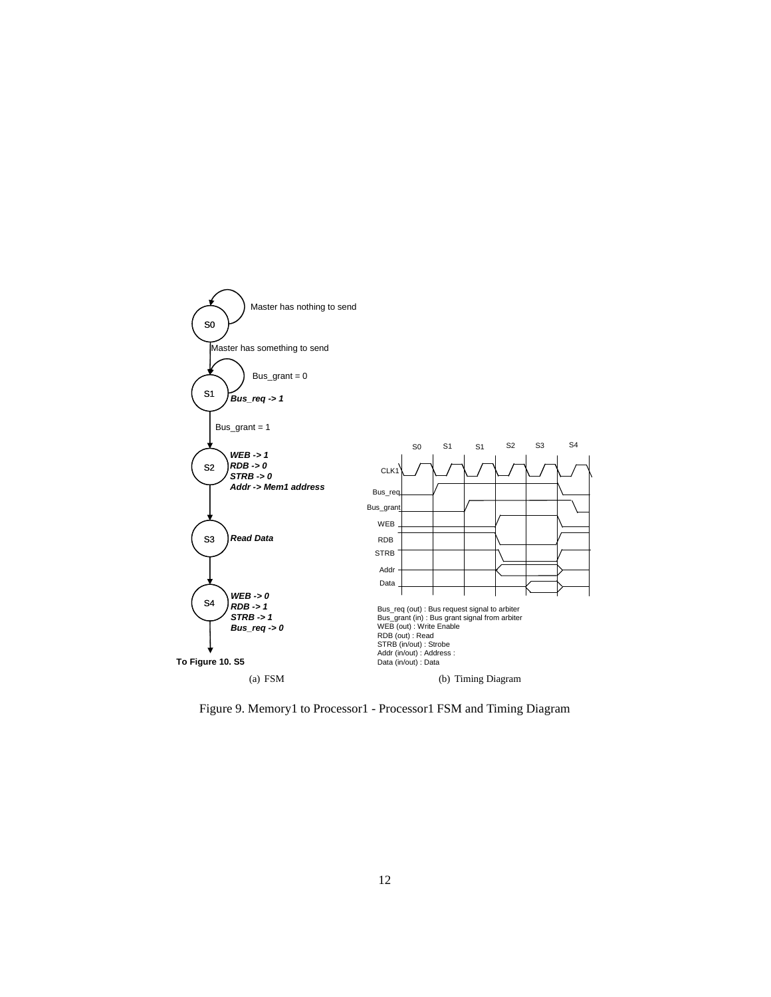

Figure 9. Memory1 to Processor1 - Processor1 FSM and Timing Diagram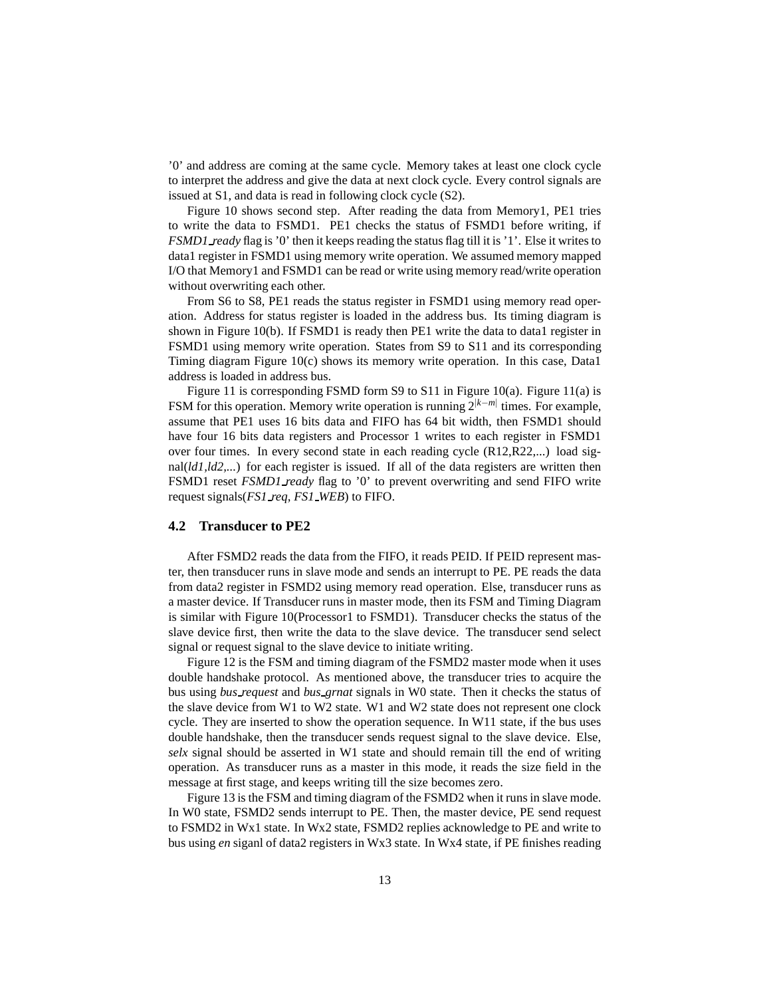'0' and address are coming at the same cycle. Memory takes at least one clock cycle to interpret the address and give the data at next clock cycle. Every control signals are issued at S1, and data is read in following clock cycle (S2).

Figure 10 shows second step. After reading the data from Memory1, PE1 tries to write the data to FSMD1. PE1 checks the status of FSMD1 before writing, if *FSMD1 ready* flag is '0' then it keeps reading the status flag till it is '1'. Else it writes to data1 register in FSMD1 using memory write operation. We assumed memory mapped I/O that Memory1 and FSMD1 can be read or write using memory read/write operation without overwriting each other.

From S6 to S8, PE1 reads the status register in FSMD1 using memory read operation. Address for status register is loaded in the address bus. Its timing diagram is shown in Figure 10(b). If FSMD1 is ready then PE1 write the data to data1 register in FSMD1 using memory write operation. States from S9 to S11 and its corresponding Timing diagram Figure 10(c) shows its memory write operation. In this case, Data1 address is loaded in address bus.

Figure 11 is corresponding FSMD form S9 to S11 in Figure 10(a). Figure 11(a) is FSM for this operation. Memory write operation is running 2|*k*−*m*<sup>|</sup> times. For example, assume that PE1 uses 16 bits data and FIFO has 64 bit width, then FSMD1 should have four 16 bits data registers and Processor 1 writes to each register in FSMD1 over four times. In every second state in each reading cycle (R12,R22,...) load signal(*ld1,ld2,...*) for each register is issued. If all of the data registers are written then FSMD1 reset *FSMD1 ready* flag to '0' to prevent overwriting and send FIFO write request signals(*FS1 req, FS1 WEB*) to FIFO.

#### **4.2 Transducer to PE2**

After FSMD2 reads the data from the FIFO, it reads PEID. If PEID represent master, then transducer runs in slave mode and sends an interrupt to PE. PE reads the data from data2 register in FSMD2 using memory read operation. Else, transducer runs as a master device. If Transducer runs in master mode, then its FSM and Timing Diagram is similar with Figure 10(Processor1 to FSMD1). Transducer checks the status of the slave device first, then write the data to the slave device. The transducer send select signal or request signal to the slave device to initiate writing.

Figure 12 is the FSM and timing diagram of the FSMD2 master mode when it uses double handshake protocol. As mentioned above, the transducer tries to acquire the bus using *bus request* and *bus grnat* signals in W0 state. Then it checks the status of the slave device from W1 to W2 state. W1 and W2 state does not represent one clock cycle. They are inserted to show the operation sequence. In W11 state, if the bus uses double handshake, then the transducer sends request signal to the slave device. Else, *selx* signal should be asserted in W1 state and should remain till the end of writing operation. As transducer runs as a master in this mode, it reads the size field in the message at first stage, and keeps writing till the size becomes zero.

Figure 13 is the FSM and timing diagram of the FSMD2 when it runs in slave mode. In W0 state, FSMD2 sends interrupt to PE. Then, the master device, PE send request to FSMD2 in Wx1 state. In Wx2 state, FSMD2 replies acknowledge to PE and write to bus using *en* siganl of data2 registers in Wx3 state. In Wx4 state, if PE finishes reading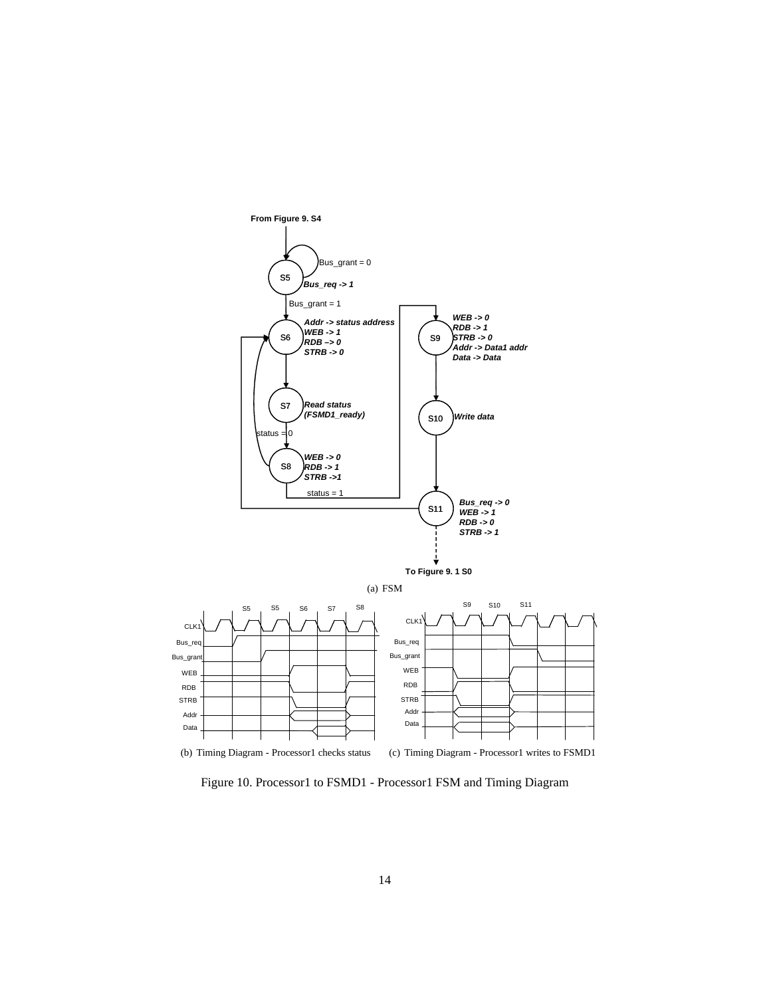

Figure 10. Processor1 to FSMD1 - Processor1 FSM and Timing Diagram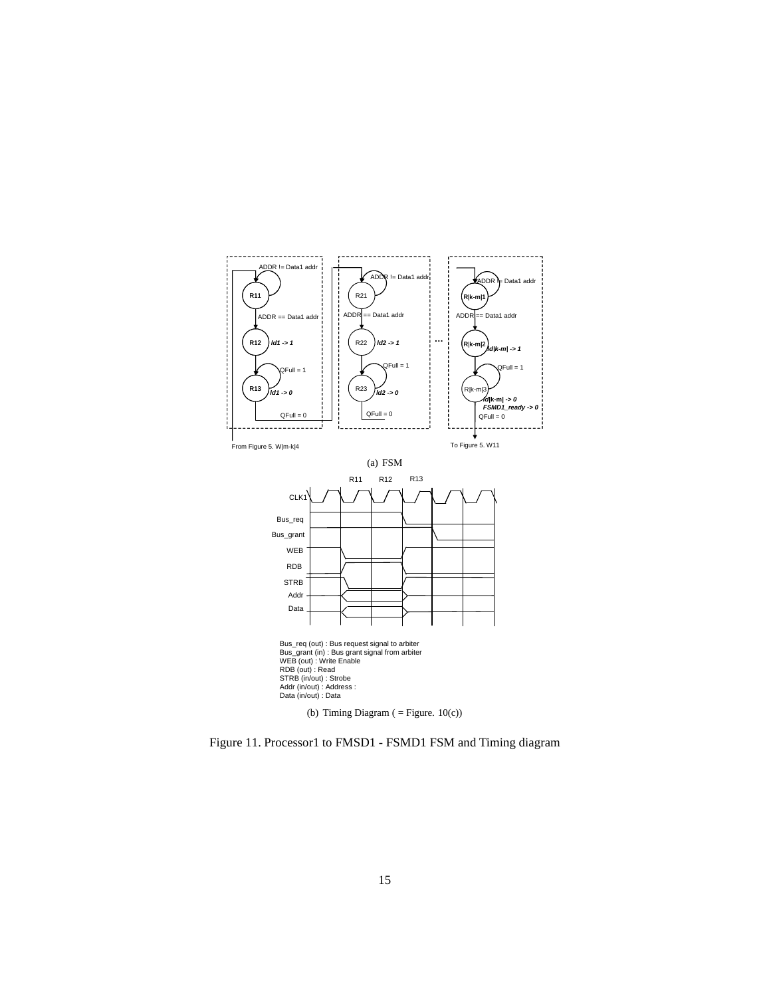

Figure 11. Processor1 to FMSD1 - FSMD1 FSM and Timing diagram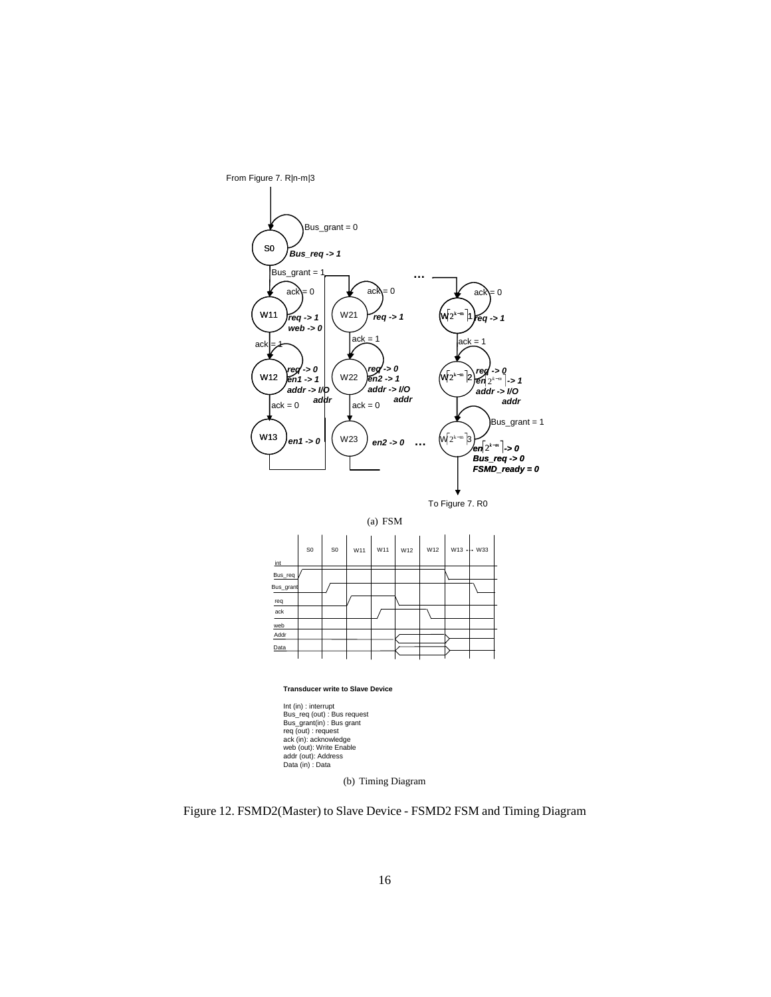

(a) FSM



#### **Transducer write to Slave Device**

Int (in) : interrupt Bus\_req (out) : Bus request Bus\_grant(in) : Bus grant req (out) : request ack (in): acknowledge web (out): Write Enable addr (out): Address Data (in) : Data

(b) Timing Diagram

Figure 12. FSMD2(Master) to Slave Device - FSMD2 FSM and Timing Diagram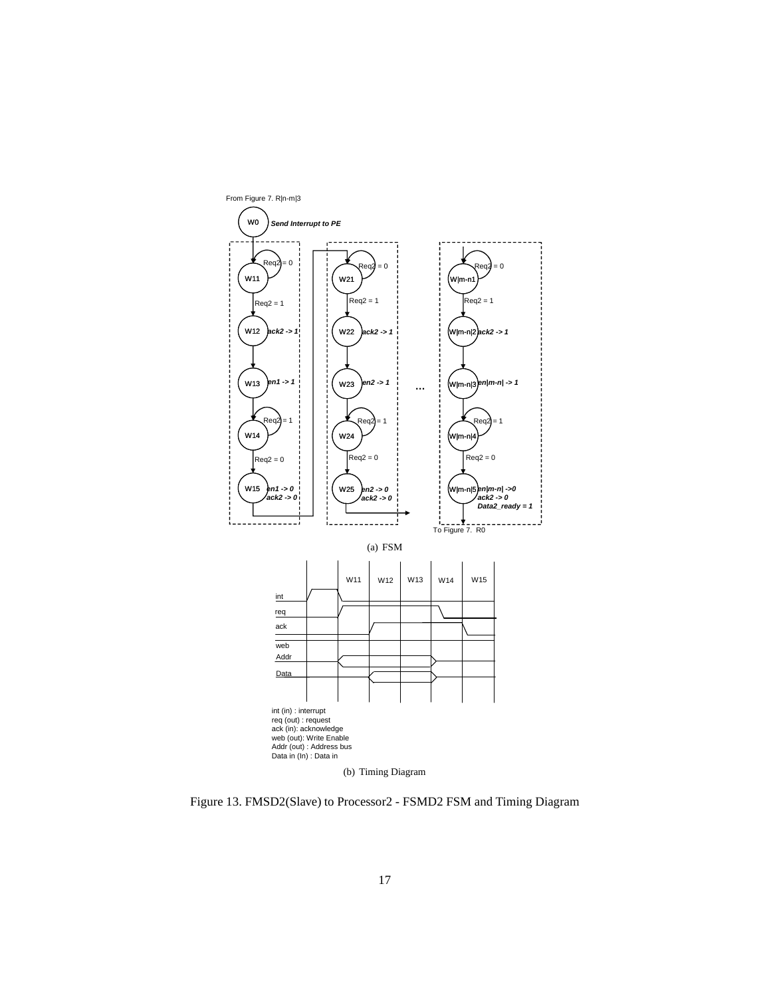

Figure 13. FMSD2(Slave) to Processor2 - FSMD2 FSM and Timing Diagram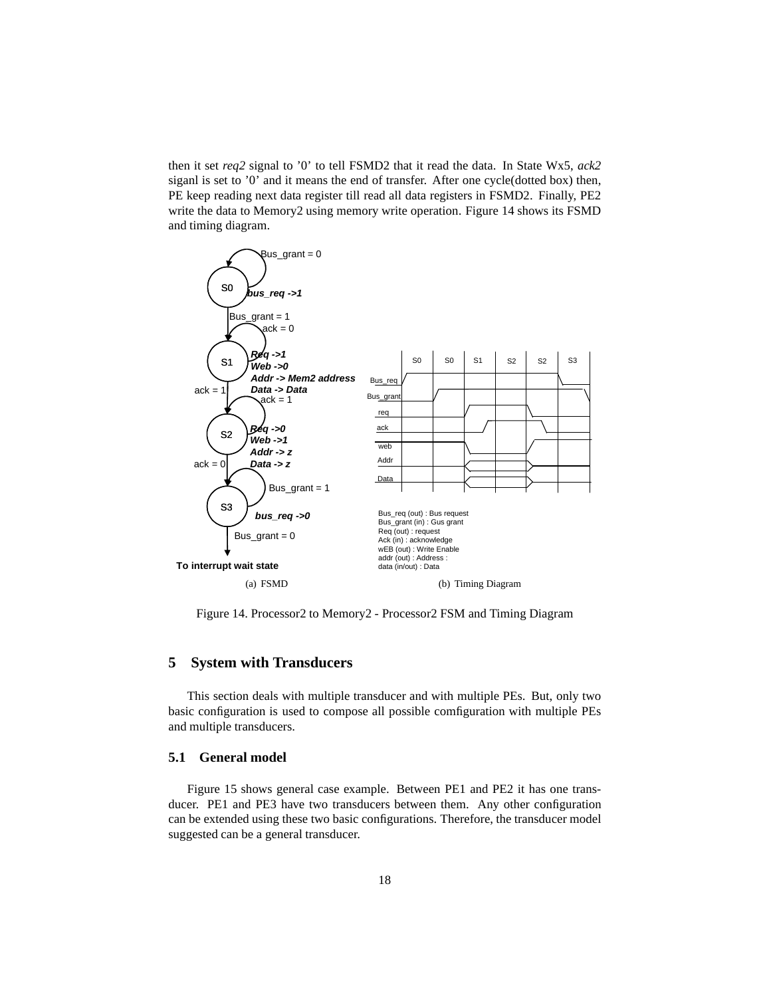then it set *req2* signal to '0' to tell FSMD2 that it read the data. In State Wx5, *ack2* siganl is set to '0' and it means the end of transfer. After one cycle(dotted box) then, PE keep reading next data register till read all data registers in FSMD2. Finally, PE2 write the data to Memory2 using memory write operation. Figure 14 shows its FSMD and timing diagram.



Figure 14. Processor2 to Memory2 - Processor2 FSM and Timing Diagram

#### **5 System with Transducers**

This section deals with multiple transducer and with multiple PEs. But, only two basic configuration is used to compose all possible comfiguration with multiple PEs and multiple transducers.

#### **5.1 General model**

Figure 15 shows general case example. Between PE1 and PE2 it has one transducer. PE1 and PE3 have two transducers between them. Any other configuration can be extended using these two basic configurations. Therefore, the transducer model suggested can be a general transducer.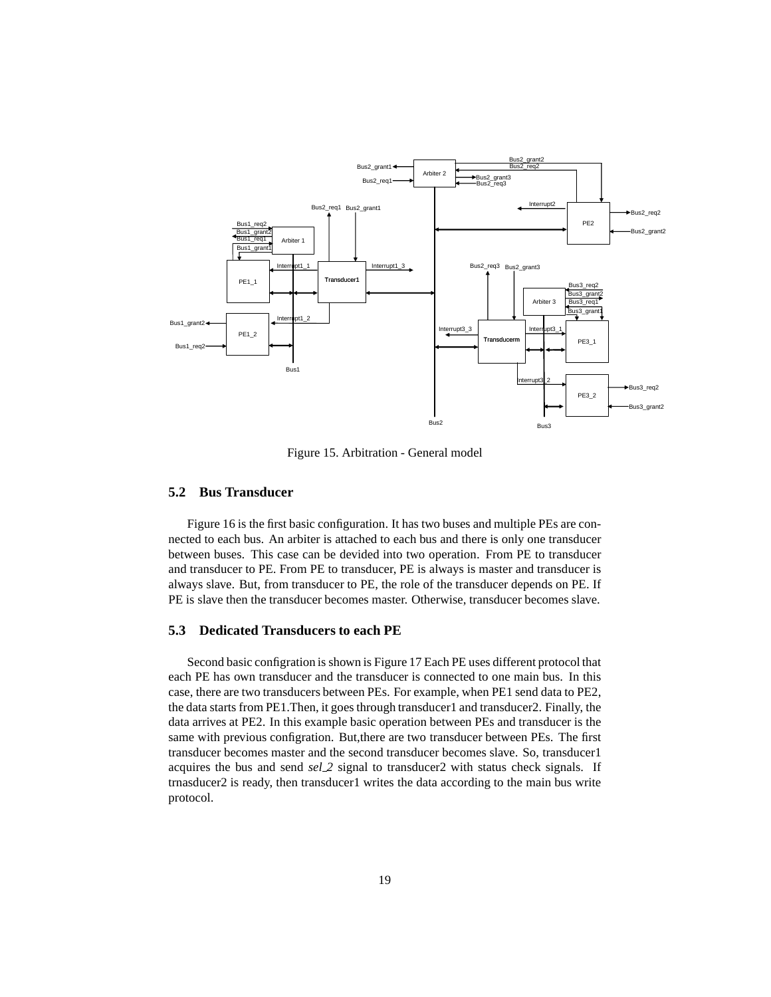

Figure 15. Arbitration - General model

#### **5.2 Bus Transducer**

Figure 16 is the first basic configuration. It has two buses and multiple PEs are connected to each bus. An arbiter is attached to each bus and there is only one transducer between buses. This case can be devided into two operation. From PE to transducer and transducer to PE. From PE to transducer, PE is always is master and transducer is always slave. But, from transducer to PE, the role of the transducer depends on PE. If PE is slave then the transducer becomes master. Otherwise, transducer becomes slave.

#### **5.3 Dedicated Transducers to each PE**

Second basic configration is shown is Figure 17 Each PE uses different protocol that each PE has own transducer and the transducer is connected to one main bus. In this case, there are two transducers between PEs. For example, when PE1 send data to PE2, the data starts from PE1.Then, it goes through transducer1 and transducer2. Finally, the data arrives at PE2. In this example basic operation between PEs and transducer is the same with previous configration. But,there are two transducer between PEs. The first transducer becomes master and the second transducer becomes slave. So, transducer1 acquires the bus and send *sel 2* signal to transducer2 with status check signals. If trnasducer2 is ready, then transducer1 writes the data according to the main bus write protocol.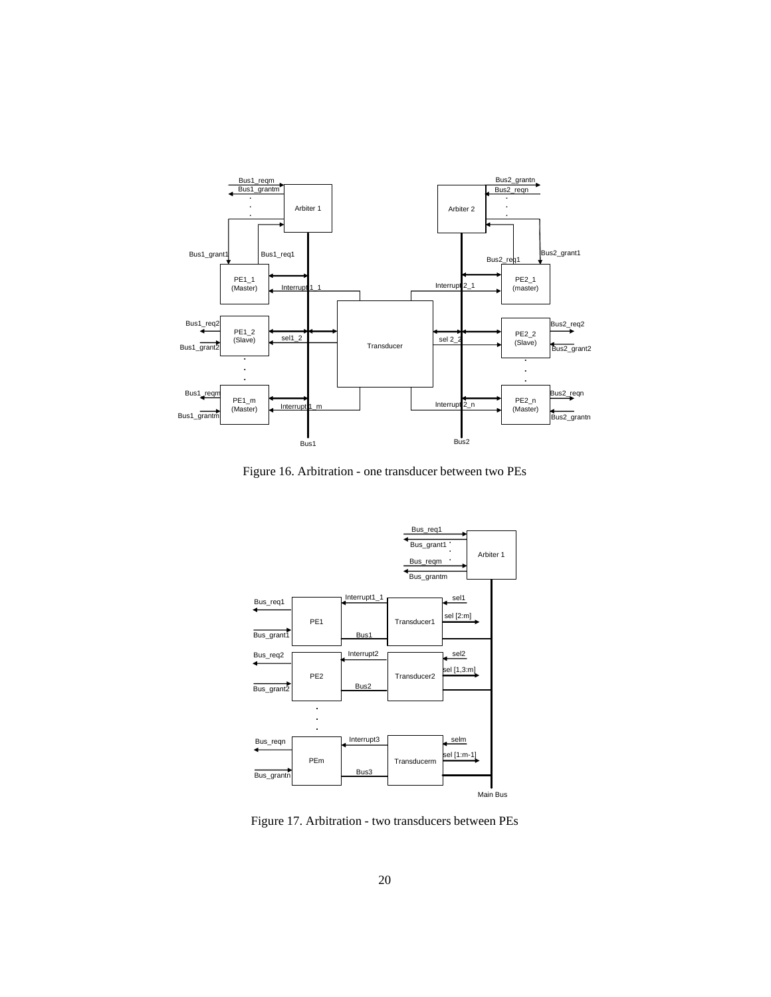

Figure 16. Arbitration - one transducer between two PEs



Figure 17. Arbitration - two transducers between PEs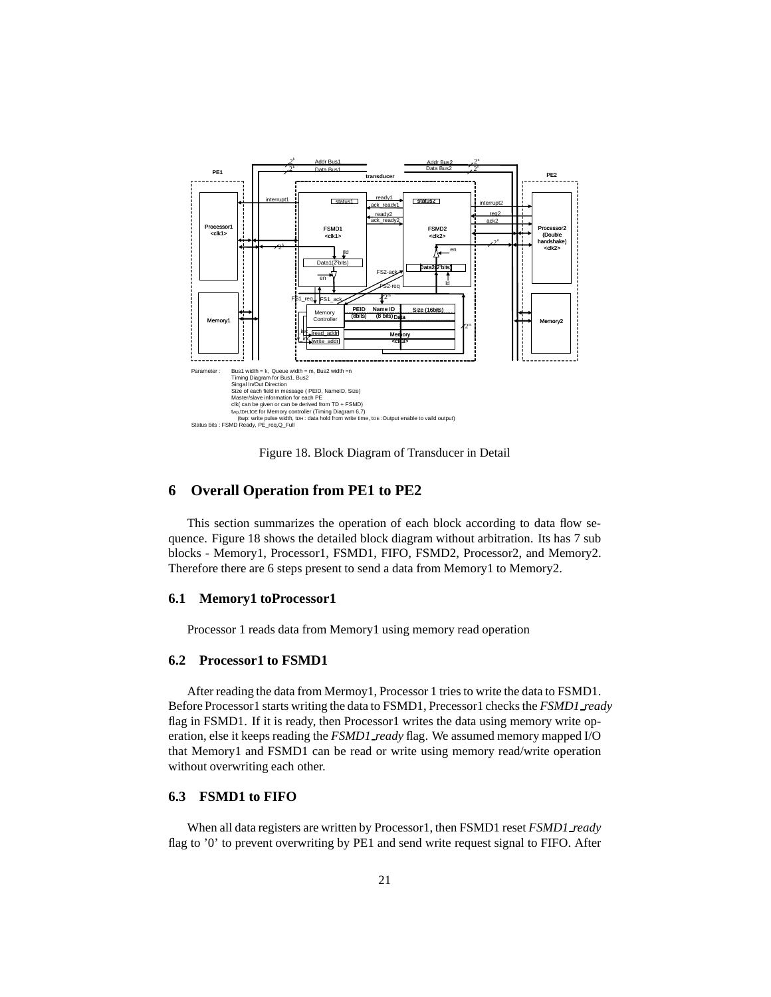

Figure 18. Block Diagram of Transducer in Detail

### **6 Overall Operation from PE1 to PE2**

This section summarizes the operation of each block according to data flow sequence. Figure 18 shows the detailed block diagram without arbitration. Its has 7 sub blocks - Memory1, Processor1, FSMD1, FIFO, FSMD2, Processor2, and Memory2. Therefore there are 6 steps present to send a data from Memory1 to Memory2.

#### **6.1 Memory1 toProcessor1**

Processor 1 reads data from Memory1 using memory read operation

#### **6.2 Processor1 to FSMD1**

After reading the data from Mermoy1, Processor 1 tries to write the data to FSMD1. Before Processor1 starts writing the data to FSMD1, Precessor1 checks the *FSMD1 ready* flag in FSMD1. If it is ready, then Processor1 writes the data using memory write operation, else it keeps reading the *FSMD1 ready* flag. We assumed memory mapped I/O that Memory1 and FSMD1 can be read or write using memory read/write operation without overwriting each other.

#### **6.3 FSMD1 to FIFO**

When all data registers are written by Processor1, then FSMD1 reset *FSMD1 ready* flag to '0' to prevent overwriting by PE1 and send write request signal to FIFO. After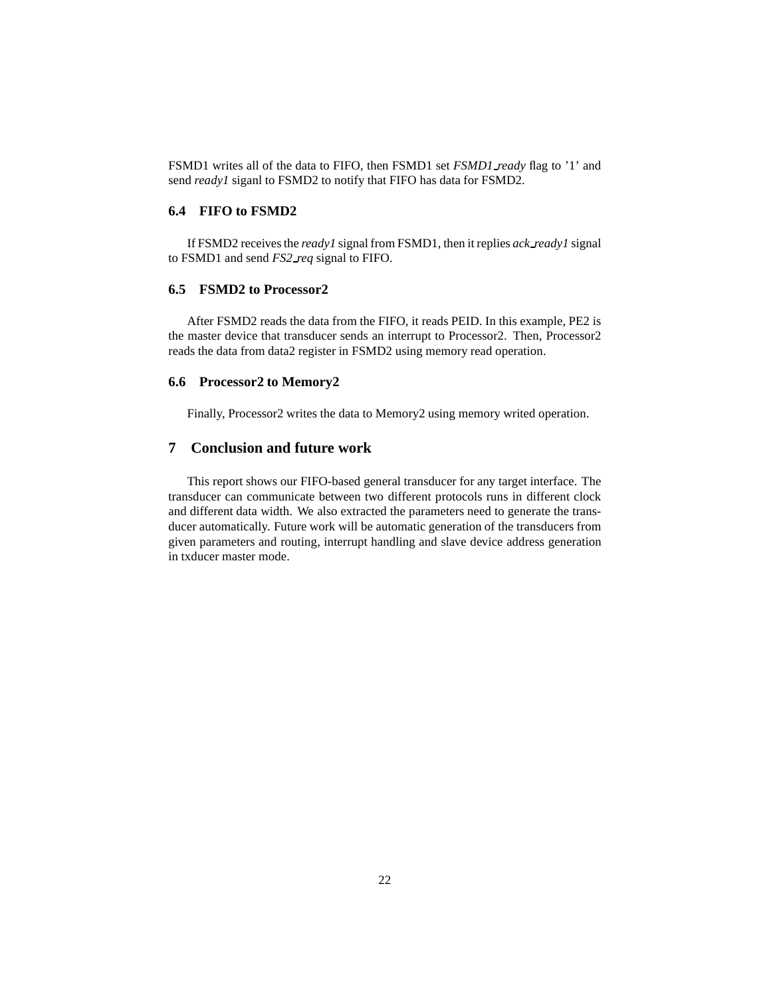FSMD1 writes all of the data to FIFO, then FSMD1 set *FSMD1 ready* flag to '1' and send *ready1* siganl to FSMD2 to notify that FIFO has data for FSMD2.

#### **6.4 FIFO to FSMD2**

If FSMD2 receives the *ready1* signal from FSMD1, then it replies *ack ready1* signal to FSMD1 and send *FS2 req* signal to FIFO.

#### **6.5 FSMD2 to Processor2**

After FSMD2 reads the data from the FIFO, it reads PEID. In this example, PE2 is the master device that transducer sends an interrupt to Processor2. Then, Processor2 reads the data from data2 register in FSMD2 using memory read operation.

#### **6.6 Processor2 to Memory2**

Finally, Processor2 writes the data to Memory2 using memory writed operation.

#### **7 Conclusion and future work**

This report shows our FIFO-based general transducer for any target interface. The transducer can communicate between two different protocols runs in different clock and different data width. We also extracted the parameters need to generate the transducer automatically. Future work will be automatic generation of the transducers from given parameters and routing, interrupt handling and slave device address generation in txducer master mode.